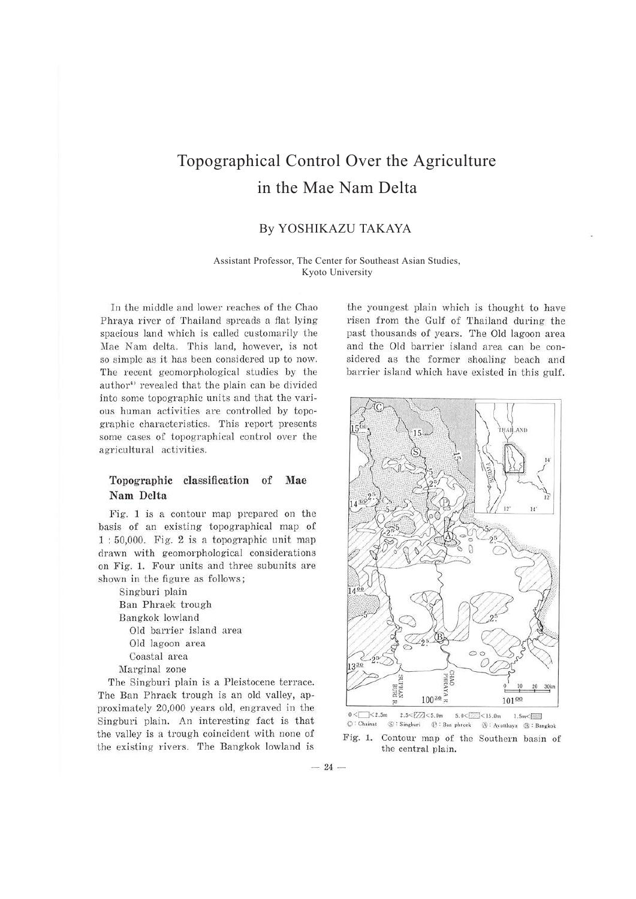# Topographical Control Over the Agriculture in the Mae Nam Delta

# By YOSHIKAZU TAKAYA

Assistant Professor, The Center for Southeast Asian Studies, Kyoto University

In the middle and lower reaches of the Chao Phraya river of Thailand spreads a flat lying spacious land which is called customarily the Mae Nam delta. This land, however, is not so simple as it has been considered up to now. The recent geomorphological studies by the author<sup>4)</sup> revealed that the plain can be divided into some topographic units and that the various human activities are controlled by topographic characteristics. This report presents some cases of topographical control over the agricultural activities.

# **Topographic classification of Mae Nam Delta**

Fig. 1 is a contour map prepared on the basis of an existing topographical map of  $1:50,000$ . Fig. 2 is a topographic unit map drawn with geomorphological considerations on Fig. 1. Four units and three subunits are shown in the figure as follows;

Singburi plain Ban Phraek trough Bangkok lowland Old barrier island area Old lagoon area Coastal area Marginal zone

The Singburi plain is a Pleistocene terrace. The Ban Phraek trough is an old valley, approximately 20,000 years old, engraved in the Singburi plain. An interesting fact is that the valley is a trough coincident with none of the existing rivers. The Bangkok lowland is

the youngest plain which is thought to have risen from the Gulf of Thailand during the past thousands of years. The Old lagoon area and the Old barrier island area can be considered as the former shoaling beach and barrier island which have existed in this gulf.



 $0 < \square < 2.5$ m  $2.5 < \square / 2 < 5.0$ m  $5.0 < \square < 15.0$ m  $1.5 \text{ m} < \square$ <br>© Chainat  $\odot$  Singburi  $\odot$  Ban phreek  $\odot$  : Avutthaya  $\odot$  : Ban **0 : Chainat (S) : S ingburi <l} : 8:in phrcek @ ; Ayuuhaya <Jl : Bangkok** 

Fig. 1. Contour map of the Southern basin of the central plain.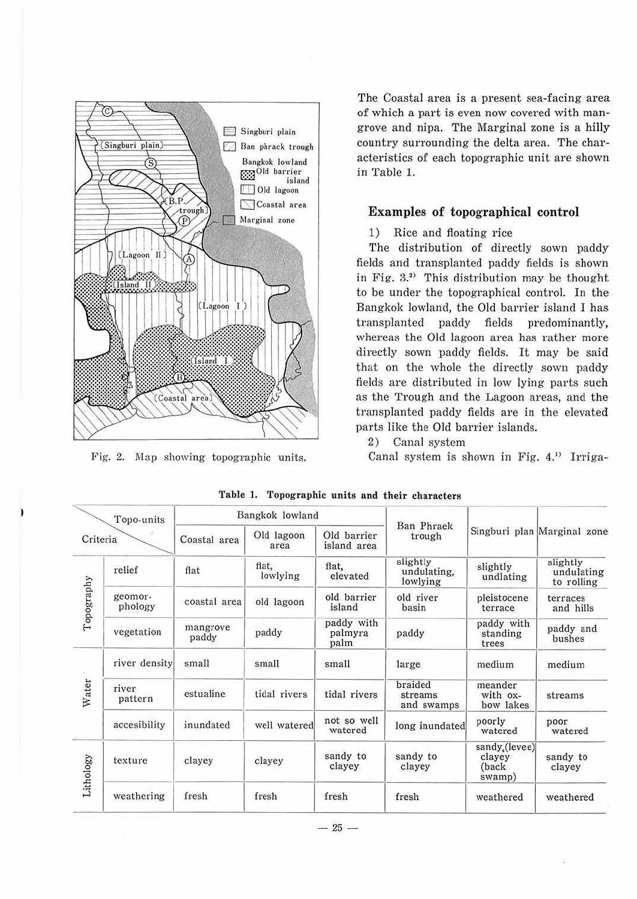

Fig. 2. Map showing topographic units.

The Coastal area is a present sea-facing area of which a part is even now covered with mangrove and nipa. The Marginal zone is a hilly country surrounding the delta area. The characteristics of each topographic unit are shown in Table 1.

## **Examples of topographical control**

## 1) Rice and floating rice

The distribution of directly sown paddy fields and transplanted paddy fields is shown in Fig. 3.<sup>2)</sup> This distribution may be thought to be under the topographical control. In the Bangkok lowland, the Old barrier island I has transplanted paddy fields predominantly, whereas the Old lagoon area has rather more directly sown paddy fields. It may be said that on the whole the directly sown paddy fields are distributed in low lying parts such as the Trough and the Lagoon areas, and the transplanted paddy fields are in the elevated parts like the Old barrier islands.

2) Canal system

Canal system is shown in Fig. 4.<sup>11</sup> Irriga-

| Topo-units<br>Criteria |                    | Bangkok lowland   |                    |                               |                                     |                                            |                                      |
|------------------------|--------------------|-------------------|--------------------|-------------------------------|-------------------------------------|--------------------------------------------|--------------------------------------|
|                        |                    | Coastal area      | Old lagoon<br>area | Old barrier<br>island area    | Ban Phraek<br>trough                |                                            | Singburi plan Marginal zone          |
| Topography             | relief             | flat              | flat,<br>lowlying  | flat.<br>elevated             | slightly<br>undulating,<br>lowlying | slightly<br>undlating                      | slightly<br>undulating<br>to rolling |
|                        | geomor-<br>phology | coastal area      | old lagoon         | old barrier<br>island         | old river<br>basin                  | pleistocene<br>terrace                     | terraces<br>and hills                |
|                        | vegetation         | mangrove<br>paddy | paddy              | paddy with<br>palmyra<br>palm | paddy                               | paddy with<br>standing<br>trees            | paddy and<br>bushes                  |
| Water                  | river density      | small             | small              | small                         | large                               | medium                                     | medium                               |
|                        | river<br>pattern   | estualine         | tidal rivers       | tidal rivers                  | braided<br>streams<br>and swamps    | meander<br>with ox-<br>bow lakes           | streams                              |
|                        | accesibility       | inundated         | well watered       | not so well<br>watered        | long inundated                      | poorly<br>watered                          | poor<br>watered                      |
| Lithology              | texture            | clayey            | clayey             | sandy to<br>clayey            | sandy to<br>clayey                  | sandy (levee)<br>clayey<br>(back<br>swamp) | sandy to<br>clayey                   |
|                        | weathering         | fresh             | fresh              | fresh                         | fresh                               | weathered                                  | weathered                            |

| Table 1. Topographic units and their characters |  |  |  |  |  |
|-------------------------------------------------|--|--|--|--|--|
|-------------------------------------------------|--|--|--|--|--|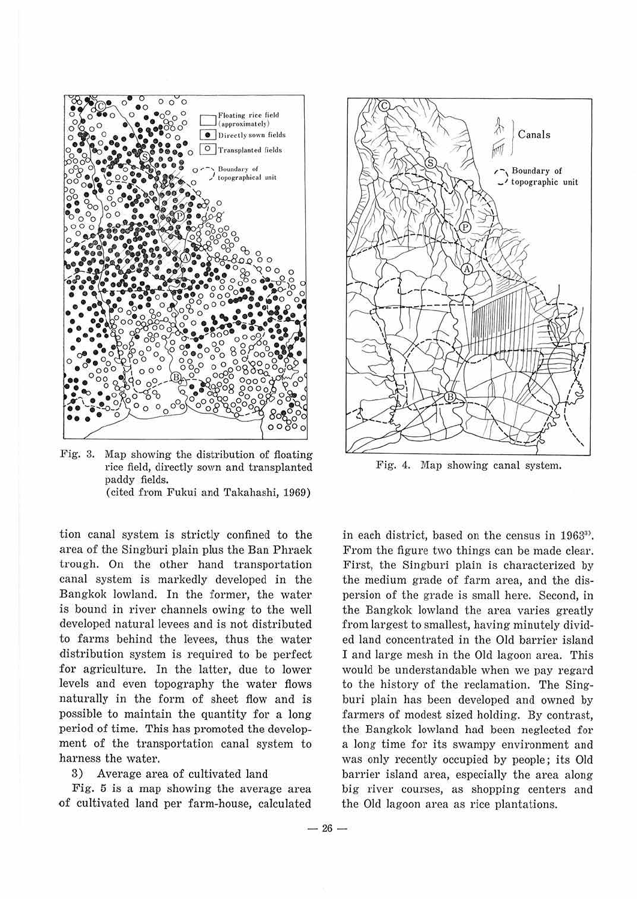

Fig. 3. Map showing the distribution of floating rice field, directly sown and transplanted paddy fields. ( cited from Fukui and Takahashi, 1969)

tion canal system is strictly confined to the area of the Singburi plain plus the Ban Phraek trough. On the other hand transportation canal system is markedly developed in the Bangkok lowland. In the former, the water is bound in river channels owing to the well developed natural levees and is not distributed to farms behind the levees, thus the water distribution system is required to be perfect for agriculture. In the latter, due to lower levels and even topography the water flows naturally in the form of sheet flow and is possible to maintain the quantity for a long period of time. This has promoted the development of the transportation canal system to harness the water.

#### 3) Average area of cultivated land

Fig. 5 is a map showing the average area of cultivated land per farm-house, calculated



Fig. 4. Map showing canal system.

in each district, based on the census in 19633>. From the figure two things can be made clear. First, the Singburi plain is characterized by the medium grade of farm area, and the dispersion of the grade is small here. Second, in the Bangkok lowland the area varies greatly from largest to smallest, having minutely divided land concentrated in the Old barrier island I and large mesh in the Old lagoon area. This would be understandable when we pay regard to the history of the reclamation. The Singburi plain has been developed and owned by farmers of modest sized holding. By contrast, the Bangkok lowland had been neglected for a long time for its swampy environment and was only recently occupied by people; its Old barrier island area, especially the area along big river courses, as shopping centers and the Old lagoon area as rice plantations.